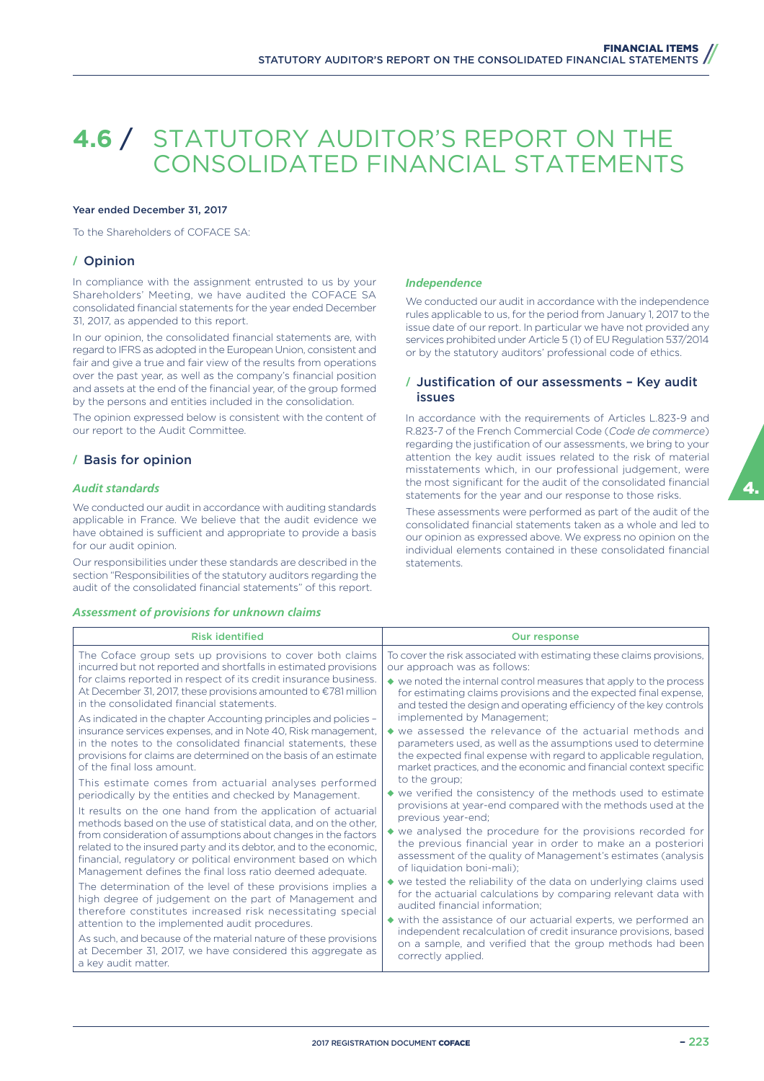# **4.6** / STATUTORY AUDITOR'S REPORT ON THE CONSOLIDATED FINANCIAL STATEMENTS

#### Year ended December 31, 2017

To the Shareholders of COFACE SA:

## **/** Opinion

In compliance with the assignment entrusted to us by your Shareholders' Meeting, we have audited the COFACE SA consolidated financial statements for the year ended December 31, 2017, as appended to this report.

In our opinion, the consolidated financial statements are, with regard to IFRS as adopted in the European Union, consistent and fair and give a true and fair view of the results from operations over the past year, as well as the company's financial position and assets at the end of the financial year, of the group formed by the persons and entities included in the consolidation.

The opinion expressed below is consistent with the content of our report to the Audit Committee.

## **/** Basis for opinion

#### *Audit standards*

We conducted our audit in accordance with auditing standards applicable in France. We believe that the audit evidence we have obtained is sufficient and appropriate to provide a basis for our audit opinion.

Our responsibilities under these standards are described in the section "Responsibilities of the statutory auditors regarding the audit of the consolidated financial statements" of this report.

#### *Assessment of provisions for unknown claims*

#### *Independence*

We conducted our audit in accordance with the independence rules applicable to us, for the period from January 1, 2017 to the issue date of our report. In particular we have not provided any services prohibited under Article 5 (1) of EU Regulation 537/2014 or by the statutory auditors' professional code of ethics.

## **/** Justification of our assessments – Key audit issues

In accordance with the requirements of Articles L.823-9 and R.823-7 of the French Commercial Code (*Code de commerce*) regarding the justification of our assessments, we bring to your attention the key audit issues related to the risk of material misstatements which, in our professional judgement, were the most significant for the audit of the consolidated financial statements for the year and our response to those risks.

These assessments were performed as part of the audit of the consolidated financial statements taken as a whole and led to our opinion as expressed above. We express no opinion on the individual elements contained in these consolidated financial statements.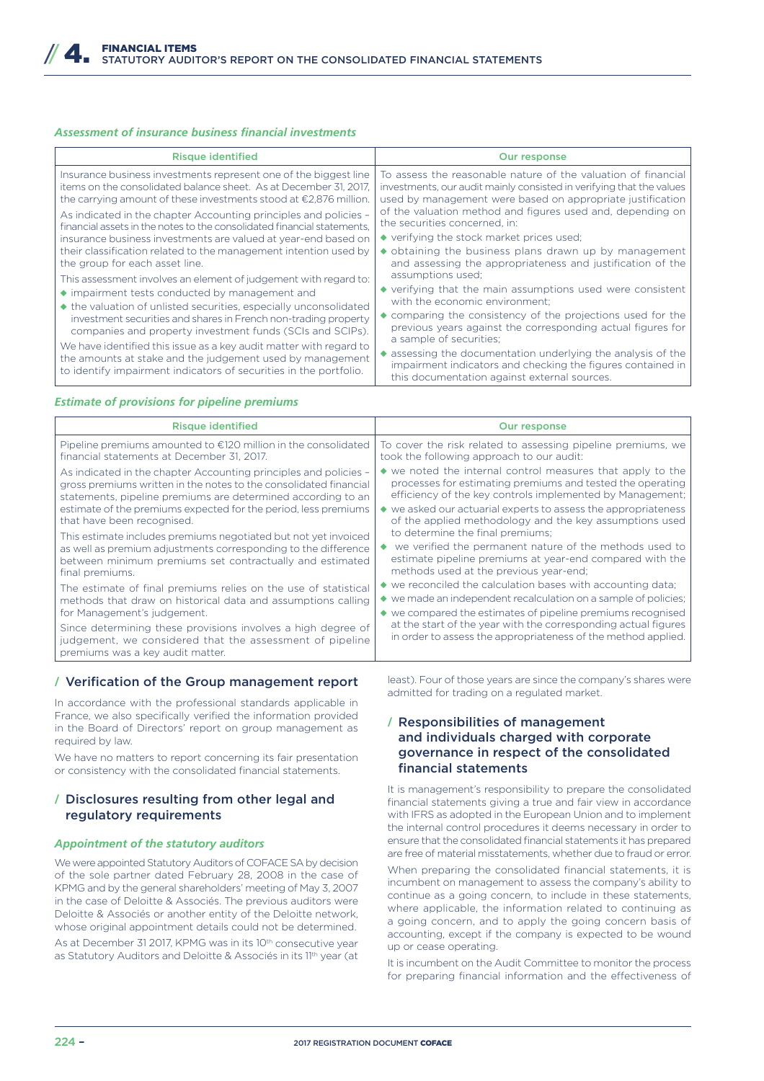## *Assessment of insurance business financial investments*

| <b>Risque identified</b>                                                                                                                                                                             | <b>Our response</b>                                                                                                                                                                                  |
|------------------------------------------------------------------------------------------------------------------------------------------------------------------------------------------------------|------------------------------------------------------------------------------------------------------------------------------------------------------------------------------------------------------|
| Insurance business investments represent one of the biggest line                                                                                                                                     | To assess the reasonable nature of the valuation of financial                                                                                                                                        |
| items on the consolidated balance sheet. As at December 31, 2017,                                                                                                                                    | investments, our audit mainly consisted in verifying that the values                                                                                                                                 |
| the carrying amount of these investments stood at $\epsilon$ 2,876 million.                                                                                                                          | used by management were based on appropriate justification                                                                                                                                           |
| As indicated in the chapter Accounting principles and policies -                                                                                                                                     | of the valuation method and figures used and, depending on                                                                                                                                           |
| financial assets in the notes to the consolidated financial statements.                                                                                                                              | the securities concerned, in:                                                                                                                                                                        |
| insurance business investments are valued at year-end based on                                                                                                                                       | $\bullet$ verifying the stock market prices used;                                                                                                                                                    |
| their classification related to the management intention used by                                                                                                                                     | $\bullet$ obtaining the business plans drawn up by management                                                                                                                                        |
| the group for each asset line.                                                                                                                                                                       | and assessing the appropriateness and justification of the                                                                                                                                           |
| This assessment involves an element of judgement with regard to:                                                                                                                                     | assumptions used:                                                                                                                                                                                    |
| • impairment tests conducted by management and                                                                                                                                                       | ◆ verifying that the main assumptions used were consistent                                                                                                                                           |
| ◆ the valuation of unlisted securities, especially unconsolidated                                                                                                                                    | with the economic environment;                                                                                                                                                                       |
| investment securities and shares in French non-trading property                                                                                                                                      | $\bullet$ comparing the consistency of the projections used for the                                                                                                                                  |
| companies and property investment funds (SCIs and SCIPs).                                                                                                                                            | previous years against the corresponding actual figures for                                                                                                                                          |
| We have identified this issue as a key audit matter with regard to<br>the amounts at stake and the judgement used by management<br>to identify impairment indicators of securities in the portfolio. | a sample of securities;<br>assessing the documentation underlying the analysis of the<br>impairment indicators and checking the figures contained in<br>this documentation against external sources. |

#### *Estimate of provisions for pipeline premiums*

| <b>Risque identified</b>                                                                                                                                     | <b>Our response</b>                                                                                                             |
|--------------------------------------------------------------------------------------------------------------------------------------------------------------|---------------------------------------------------------------------------------------------------------------------------------|
| Pipeline premiums amounted to €120 million in the consolidated                                                                                               | To cover the risk related to assessing pipeline premiums, we                                                                    |
| financial statements at December 31, 2017.                                                                                                                   | took the following approach to our audit:                                                                                       |
| As indicated in the chapter Accounting principles and policies –                                                                                             | $\bullet$ we noted the internal control measures that apply to the                                                              |
| gross premiums written in the notes to the consolidated financial                                                                                            | processes for estimating premiums and tested the operating                                                                      |
| statements, pipeline premiums are determined according to an                                                                                                 | efficiency of the key controls implemented by Management;                                                                       |
| estimate of the premiums expected for the period, less premiums                                                                                              | ◆ we asked our actuarial experts to assess the appropriateness                                                                  |
| that have been recognised.                                                                                                                                   | of the applied methodology and the key assumptions used                                                                         |
| This estimate includes premiums negotiated but not yet invoiced                                                                                              | to determine the final premiums;                                                                                                |
| as well as premium adjustments corresponding to the difference                                                                                               | we verified the permanent nature of the methods used to                                                                         |
| between minimum premiums set contractually and estimated                                                                                                     | estimate pipeline premiums at year-end compared with the                                                                        |
| final premiums.                                                                                                                                              | methods used at the previous year-end;                                                                                          |
| The estimate of final premiums relies on the use of statistical                                                                                              | ◆ we reconciled the calculation bases with accounting data;                                                                     |
| methods that draw on historical data and assumptions calling                                                                                                 | $\bullet$ we made an independent recalculation on a sample of policies;                                                         |
| for Management's judgement.                                                                                                                                  | $\bullet$ we compared the estimates of pipeline premiums recognised                                                             |
| Since determining these provisions involves a high degree of<br>judgement, we considered that the assessment of pipeline<br>premiums was a key audit matter. | at the start of the year with the corresponding actual figures<br>in order to assess the appropriateness of the method applied. |

## **/** Verification of the Group management report

In accordance with the professional standards applicable in France, we also specifically verified the information provided in the Board of Directors' report on group management as required by law.

We have no matters to report concerning its fair presentation or consistency with the consolidated financial statements.

## **/** Disclosures resulting from other legal and regulatory requirements

## *Appointment of the statutory auditors*

We were appointed Statutory Auditors of COFACE SA by decision of the sole partner dated February 28, 2008 in the case of KPMG and by the general shareholders' meeting of May 3, 2007 in the case of Deloitte & Associés. The previous auditors were Deloitte & Associés or another entity of the Deloitte network, whose original appointment details could not be determined.

As at December 31 2017, KPMG was in its 10<sup>th</sup> consecutive year as Statutory Auditors and Deloitte & Associés in its 11<sup>th</sup> year (at least). Four of those years are since the company's shares were admitted for trading on a regulated market.

# **/** Responsibilities of management and individuals charged with corporate governance in respect of the consolidated financial statements

It is management's responsibility to prepare the consolidated financial statements giving a true and fair view in accordance with IFRS as adopted in the European Union and to implement the internal control procedures it deems necessary in order to ensure that the consolidated financial statements it has prepared are free of material misstatements, whether due to fraud or error.

When preparing the consolidated financial statements, it is incumbent on management to assess the company's ability to continue as a going concern, to include in these statements, where applicable, the information related to continuing as a going concern, and to apply the going concern basis of accounting, except if the company is expected to be wound up or cease operating.

It is incumbent on the Audit Committee to monitor the process for preparing financial information and the effectiveness of